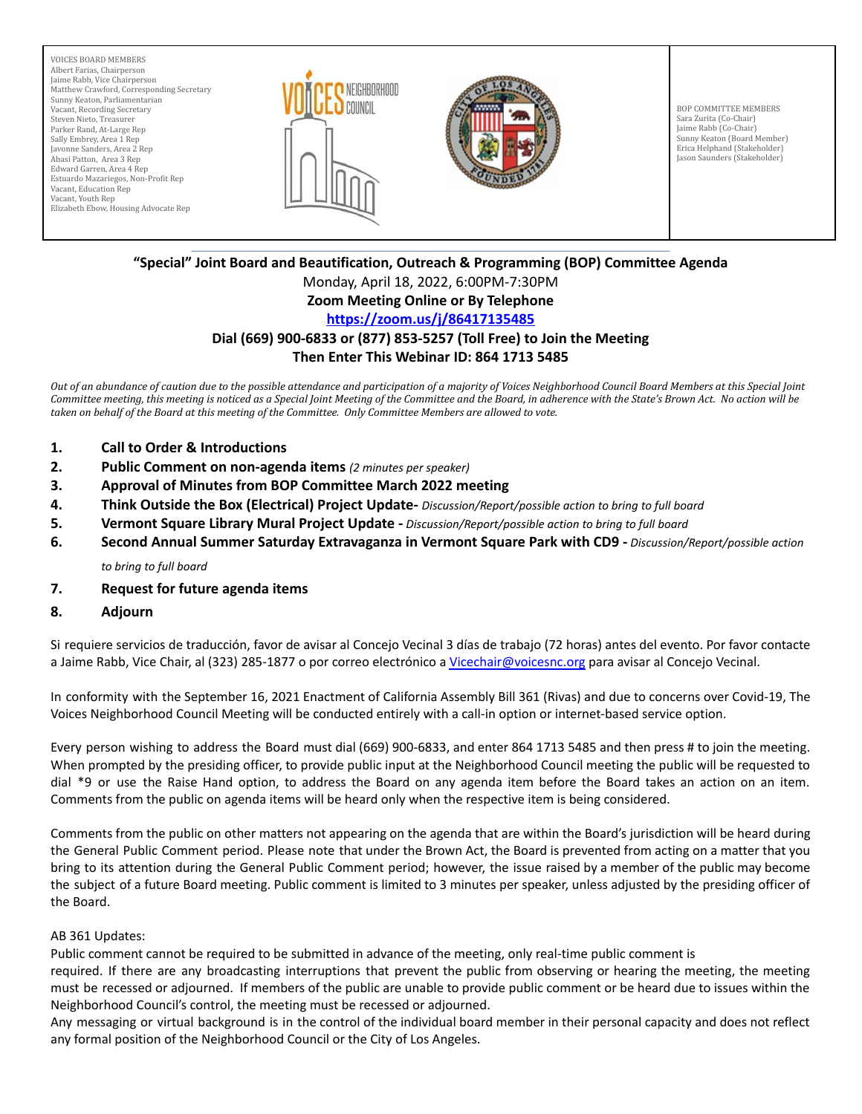VOICES BOARD MEMBERS Albert Farias, Chairperson Jaime Rabb, Vice Chairperson Matthew Crawford, Corresponding Secretary Sunny Keaton, Parliamentarian Vacant, Recording Secretary Steven Nieto, Treasurer Parker Rand, At-Large Rep Sally Embrey, Area 1 Rep Javonne Sanders, Area 2 Rep Abasi Patton, Area 3 Rep Edward Garren, Area 4 Rep Estuardo Mazariegos, Non-Profit Rep Vacant, Education Rep Vacant, Youth Rep Elizabeth Ebow, Housing Advocate Rep





BOP COMMITTEE MEMBERS Sara Zurita (Co-Chair) Jaime Rabb (Co-Chair) Sunny Keaton (Board Member) Erica Helphand (Stakeholder) Jason Saunders (Stakeholder)

#### \_\_\_\_\_\_\_\_\_\_\_\_\_\_\_\_\_\_\_\_\_\_\_\_\_\_\_\_\_\_\_\_\_\_\_\_\_\_\_\_\_\_\_\_\_\_\_\_\_\_\_\_\_\_\_\_\_\_\_\_\_\_\_\_\_\_\_\_\_\_\_\_\_\_\_\_\_\_\_\_\_\_\_\_\_\_\_\_\_\_\_\_\_\_\_\_\_\_\_\_\_\_\_\_\_\_\_\_\_\_\_\_\_\_\_\_\_\_\_\_\_\_\_\_\_\_\_\_\_\_\_ **"Special" Joint Board and Beautification, Outreach & Programming (BOP) Committee Agenda**

Monday, April 18, 2022, 6:00PM-7:30PM

## **Zoom Meeting Online or By Telephone**

# **<https://zoom.us/j/86417135485>**

### **Dial (669) 900-6833 or (877) 853-5257 (Toll Free) to Join the Meeting Then Enter This Webinar ID: 864 1713 5485**

Out of an abundance of caution due to the possible attendance and participation of a majority of Voices Neighborhood Council Board Members at this Special Joint Committee meeting, this meeting is noticed as a Special Joint Meeting of the Committee and the Board, in adherence with the State's Brown Act. No action will be taken on behalf of the Board at this meeting of the Committee. Only Committee Members are allowed to vote.

- **1. Call to Order & Introductions**
- **2. Public Comment on non-agenda items** *(2 minutes per speaker)*
- **3. Approval of Minutes from BOP Committee March 2022 meeting**
- **4. Think Outside the Box (Electrical) Project Update-** *Discussion/Report/possible action to bring to full board*
- **5. Vermont Square Library Mural Project Update -** *Discussion/Report/possible action to bring to full board*
- **6. Second Annual Summer Saturday Extravaganza in Vermont Square Park with CD9 -** *Discussion/Report/possible action to bring to full board*
- **7. Request for future agenda items**
- **8. Adjourn**

Si requiere servicios de traducción, favor de avisar al Concejo Vecinal 3 días de trabajo (72 horas) antes del evento. Por favor contacte a Jaime Rabb, Vice Chair, al (323) 285-1877 o por correo electrónico a [Vicechair@voicesnc.org](mailto:VNCCorrSec18@gmail.com) para avisar al Concejo Vecinal.

In conformity with the September 16, 2021 Enactment of California Assembly Bill 361 (Rivas) and due to concerns over Covid-19, The Voices Neighborhood Council Meeting will be conducted entirely with a call-in option or internet-based service option.

Every person wishing to address the Board must dial (669) 900-6833, and enter 864 1713 5485 and then press # to join the meeting. When prompted by the presiding officer, to provide public input at the Neighborhood Council meeting the public will be requested to dial \*9 or use the Raise Hand option, to address the Board on any agenda item before the Board takes an action on an item. Comments from the public on agenda items will be heard only when the respective item is being considered.

Comments from the public on other matters not appearing on the agenda that are within the Board's jurisdiction will be heard during the General Public Comment period. Please note that under the Brown Act, the Board is prevented from acting on a matter that you bring to its attention during the General Public Comment period; however, the issue raised by a member of the public may become the subject of a future Board meeting. Public comment is limited to 3 minutes per speaker, unless adjusted by the presiding officer of the Board.

### AB 361 Updates:

Public comment cannot be required to be submitted in advance of the meeting, only real-time public comment is

required. If there are any broadcasting interruptions that prevent the public from observing or hearing the meeting, the meeting must be recessed or adjourned. If members of the public are unable to provide public comment or be heard due to issues within the Neighborhood Council's control, the meeting must be recessed or adjourned.

Any messaging or virtual background is in the control of the individual board member in their personal capacity and does not reflect any formal position of the Neighborhood Council or the City of Los Angeles.